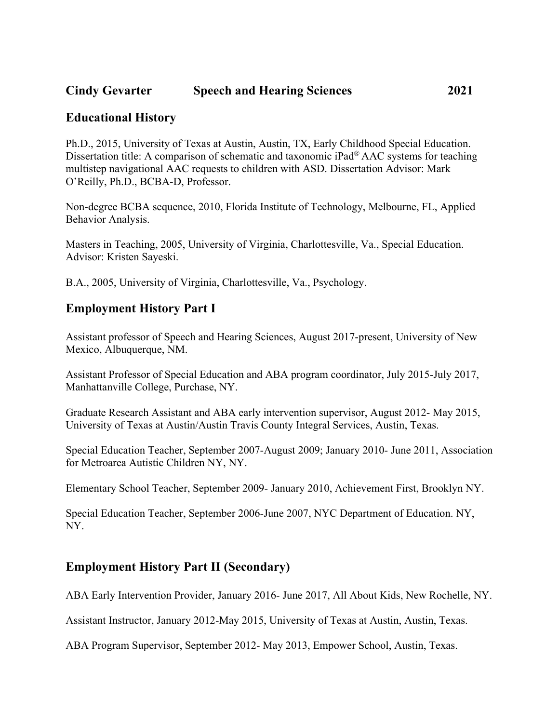## **Cindy Gevarter Speech and Hearing Sciences 2021**

### **Educational History**

Ph.D., 2015, University of Texas at Austin, Austin, TX, Early Childhood Special Education. Dissertation title: A comparison of schematic and taxonomic iPad® AAC systems for teaching multistep navigational AAC requests to children with ASD. Dissertation Advisor: Mark O'Reilly, Ph.D., BCBA-D, Professor.

Non-degree BCBA sequence, 2010, Florida Institute of Technology, Melbourne, FL, Applied Behavior Analysis.

Masters in Teaching, 2005, University of Virginia, Charlottesville, Va., Special Education. Advisor: Kristen Sayeski.

B.A., 2005, University of Virginia, Charlottesville, Va., Psychology.

### **Employment History Part I**

Assistant professor of Speech and Hearing Sciences, August 2017-present, University of New Mexico, Albuquerque, NM.

Assistant Professor of Special Education and ABA program coordinator, July 2015-July 2017, Manhattanville College, Purchase, NY.

Graduate Research Assistant and ABA early intervention supervisor, August 2012- May 2015, University of Texas at Austin/Austin Travis County Integral Services, Austin, Texas.

Special Education Teacher, September 2007-August 2009; January 2010- June 2011, Association for Metroarea Autistic Children NY, NY.

Elementary School Teacher, September 2009- January 2010, Achievement First, Brooklyn NY.

Special Education Teacher, September 2006-June 2007, NYC Department of Education. NY, NY.

## **Employment History Part II (Secondary)**

ABA Early Intervention Provider, January 2016- June 2017, All About Kids, New Rochelle, NY.

Assistant Instructor, January 2012-May 2015, University of Texas at Austin, Austin, Texas.

ABA Program Supervisor, September 2012- May 2013, Empower School, Austin, Texas.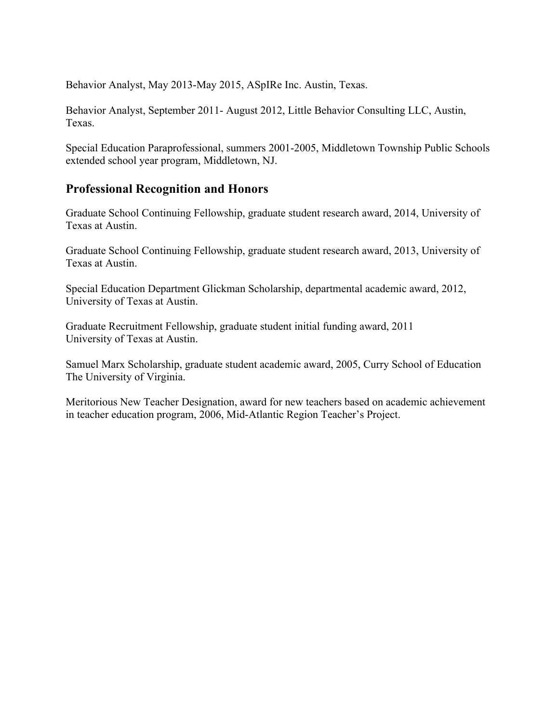Behavior Analyst, May 2013-May 2015, ASpIRe Inc. Austin, Texas.

Behavior Analyst, September 2011- August 2012, Little Behavior Consulting LLC, Austin, Texas.

Special Education Paraprofessional, summers 2001-2005, Middletown Township Public Schools extended school year program, Middletown, NJ.

## **Professional Recognition and Honors**

Graduate School Continuing Fellowship, graduate student research award, 2014, University of Texas at Austin.

Graduate School Continuing Fellowship, graduate student research award, 2013, University of Texas at Austin.

Special Education Department Glickman Scholarship, departmental academic award, 2012, University of Texas at Austin.

Graduate Recruitment Fellowship, graduate student initial funding award, 2011 University of Texas at Austin.

Samuel Marx Scholarship, graduate student academic award, 2005, Curry School of Education The University of Virginia.

Meritorious New Teacher Designation, award for new teachers based on academic achievement in teacher education program, 2006, Mid-Atlantic Region Teacher's Project.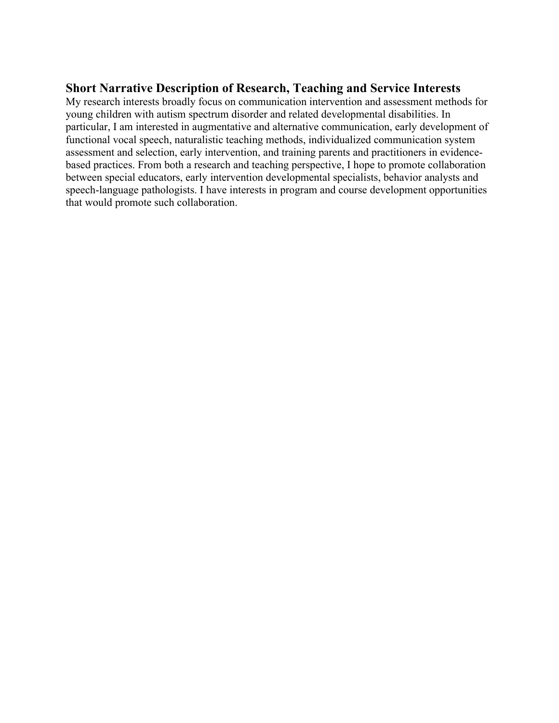## **Short Narrative Description of Research, Teaching and Service Interests**

My research interests broadly focus on communication intervention and assessment methods for young children with autism spectrum disorder and related developmental disabilities. In particular, I am interested in augmentative and alternative communication, early development of functional vocal speech, naturalistic teaching methods, individualized communication system assessment and selection, early intervention, and training parents and practitioners in evidencebased practices. From both a research and teaching perspective, I hope to promote collaboration between special educators, early intervention developmental specialists, behavior analysts and speech-language pathologists. I have interests in program and course development opportunities that would promote such collaboration.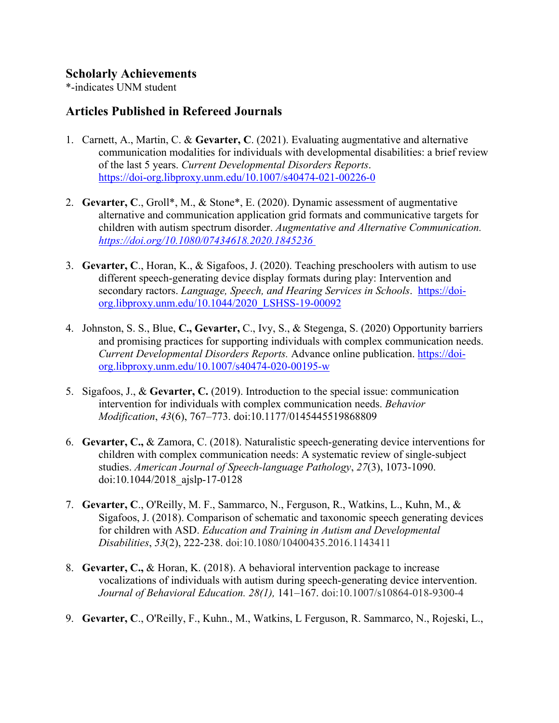## **Scholarly Achievements**

\*-indicates UNM student

## **Articles Published in Refereed Journals**

- 1. Carnett, A., Martin, C. & **Gevarter, C**. (2021). Evaluating augmentative and alternative communication modalities for individuals with developmental disabilities: a brief review of the last 5 years. *Current Developmental Disorders Reports*. <https://doi-org.libproxy.unm.edu/10.1007/s40474-021-00226-0>
- 2. **Gevarter, C**., Groll\*, M., & Stone\*, E. (2020). Dynamic assessment of augmentative alternative and communication application grid formats and communicative targets for children with autism spectrum disorder. *Augmentative and Alternative Communication. <https://doi.org/10.1080/07434618.2020.1845236>*
- 3. **Gevarter, C**., Horan, K., & Sigafoos, J. (2020). Teaching preschoolers with autism to use different speech-generating device display formats during play: Intervention and secondary ractors. *Language, Speech, and Hearing Services in Schools*. [https://doi](https://doi-org.libproxy.unm.edu/10.1044/2020_LSHSS-19-00092)[org.libproxy.unm.edu/10.1044/2020\\_LSHSS-19-00092](https://doi-org.libproxy.unm.edu/10.1044/2020_LSHSS-19-00092)
- 4. Johnston, S. S., Blue, **C., Gevarter,** C., Ivy, S., & Stegenga, S. (2020) Opportunity barriers and promising practices for supporting individuals with complex communication needs. *Current Developmental Disorders Reports.* Advance online publication. [https://doi](https://doi-org.libproxy.unm.edu/10.1007/s40474-020-00195-w)[org.libproxy.unm.edu/10.1007/s40474-020-00195-w](https://doi-org.libproxy.unm.edu/10.1007/s40474-020-00195-w)
- 5. Sigafoos, J., & **Gevarter, C.** (2019). Introduction to the special issue: communication intervention for individuals with complex communication needs. *Behavior Modification*, *43*(6), 767–773. doi:10.1177/0145445519868809
- 6. **Gevarter, C.,** & Zamora, C. (2018). Naturalistic speech-generating device interventions for children with complex communication needs: A systematic review of single-subject studies. *American Journal of Speech-language Pathology*, *27*(3), 1073-1090. doi:10.1044/2018\_ajslp-17-0128
- 7. **Gevarter, C**., O'Reilly, M. F., Sammarco, N., Ferguson, R., Watkins, L., Kuhn, M., & Sigafoos, J. (2018). Comparison of schematic and taxonomic speech generating devices for children with ASD. *Education and Training in Autism and Developmental Disabilities*, *53*(2), 222-238. doi:10.1080/10400435.2016.1143411
- 8. **Gevarter, C.,** & Horan, K. (2018). A behavioral intervention package to increase vocalizations of individuals with autism during speech-generating device intervention. *Journal of Behavioral Education. 28(1),* 141–167. doi:10.1007/s10864-018-9300-4
- 9. **Gevarter, C**., O'Reilly, F., Kuhn., M., Watkins, L Ferguson, R. Sammarco, N., Rojeski, L.,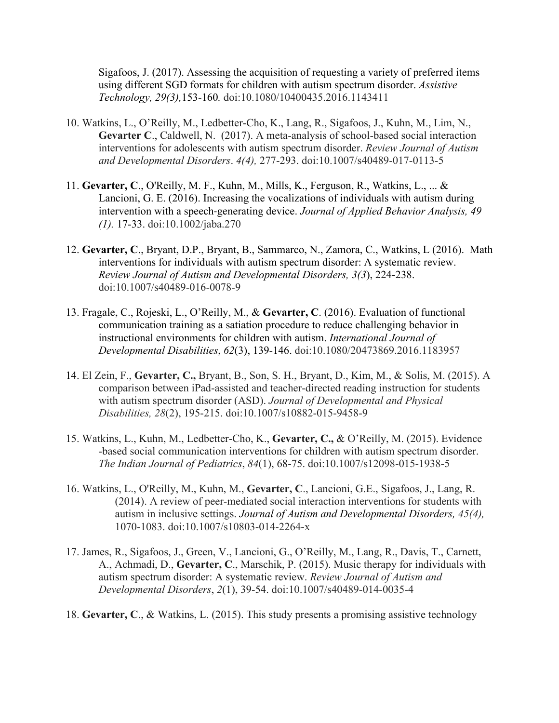Sigafoos, J. (2017). Assessing the acquisition of requesting a variety of preferred items using different SGD formats for children with autism spectrum disorder. *Assistive Technology, 29(3),*153-160*.* doi:10.1080/10400435.2016.1143411

- 10. Watkins, L., O'Reilly, M., Ledbetter-Cho, K., Lang, R., Sigafoos, J., Kuhn, M., Lim, N., **Gevarter C**., Caldwell, N. (2017). A meta-analysis of school-based social interaction interventions for adolescents with autism spectrum disorder. *Review Journal of Autism and Developmental Disorders*. *4(4),* 277-293. doi:10.1007/s40489-017-0113-5
- 11. **Gevarter, C**., O'Reilly, M. F., Kuhn, M., Mills, K., Ferguson, R., Watkins, L., ... & Lancioni, G. E. (2016). Increasing the vocalizations of individuals with autism during intervention with a speech‐generating device. *Journal of Applied Behavior Analysis, 49 (1).* 17-33. doi:10.1002/jaba.270
- 12. **Gevarter, C**., Bryant, D.P., Bryant, B., Sammarco, N., Zamora, C., Watkins, L (2016). Math interventions for individuals with autism spectrum disorder: A systematic review. *Review Journal of Autism and Developmental Disorders, 3(3*), 224-238. doi:10.1007/s40489-016-0078-9
- 13. Fragale, C., Rojeski, L., O'Reilly, M., & **Gevarter, C**. (2016). Evaluation of functional communication training as a satiation procedure to reduce challenging behavior in instructional environments for children with autism. *International Journal of Developmental Disabilities*, *62*(3), 139-146. doi:10.1080/20473869.2016.1183957
- 14. El Zein, F., **Gevarter, C.,** Bryant, B., Son, S. H., Bryant, D., Kim, M., & Solis, M. (2015). A comparison between iPad-assisted and teacher-directed reading instruction for students with autism spectrum disorder (ASD). *Journal of Developmental and Physical Disabilities, 28*(2), 195-215. doi:10.1007/s10882-015-9458-9
- 15. Watkins, L., Kuhn, M., Ledbetter-Cho, K., **Gevarter, C.,** & O'Reilly, M. (2015). Evidence -based social communication interventions for children with autism spectrum disorder. *The Indian Journal of Pediatrics*, *84*(1), 68-75. doi:10.1007/s12098-015-1938-5
- 16. Watkins, L., O'Reilly, M., Kuhn, M., **Gevarter, C**., Lancioni, G.E., Sigafoos, J., Lang, R. (2014). A review of peer-mediated social interaction interventions for students with autism in inclusive settings. *Journal of Autism and Developmental Disorders, 45(4),* 1070-1083. doi:10.1007/s10803-014-2264-x
- 17. James, R., Sigafoos, J., Green, V., Lancioni, G., O'Reilly, M., Lang, R., Davis, T., Carnett, A., Achmadi, D., **Gevarter, C**., Marschik, P. (2015). Music therapy for individuals with autism spectrum disorder: A systematic review. *Review Journal of Autism and Developmental Disorders*, *2*(1), 39-54. doi:10.1007/s40489-014-0035-4
- 18. **Gevarter, C**., & Watkins, L. (2015). This study presents a promising assistive technology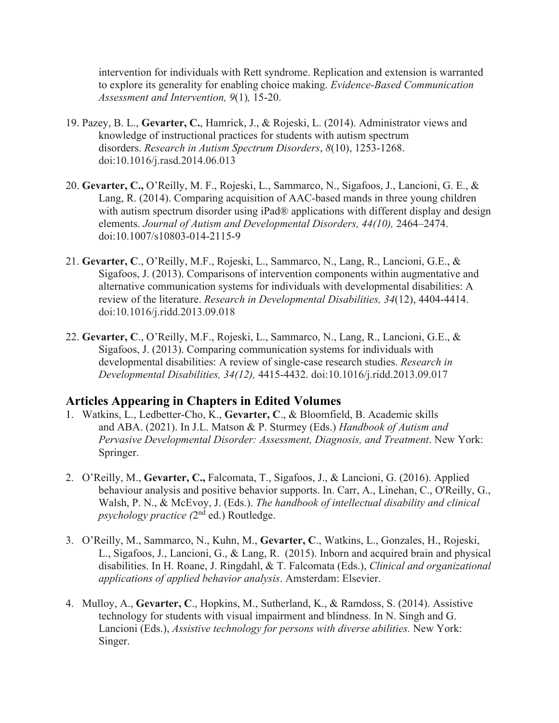intervention for individuals with Rett syndrome. Replication and extension is warranted to explore its generality for enabling choice making. *Evidence-Based Communication Assessment and Intervention, 9*(1)*,* 15-20.

- 19. Pazey, B. L., **Gevarter, C.**, Hamrick, J., & Rojeski, L. (2014). Administrator views and knowledge of instructional practices for students with autism spectrum disorders. *Research in Autism Spectrum Disorders*, *8*(10), 1253-1268. doi:10.1016/j.rasd.2014.06.013
- 20. **Gevarter, C.,** O'Reilly, M. F., Rojeski, L., Sammarco, N., Sigafoos, J., Lancioni, G. E., & Lang, R. (2014). Comparing acquisition of AAC-based mands in three young children with autism spectrum disorder using iPad® applications with different display and design elements. *Journal of Autism and Developmental Disorders, 44(10),* 2464–2474. doi:10.1007/s10803-014-2115-9
- 21. **Gevarter, C**., O'Reilly, M.F., Rojeski, L., Sammarco, N., Lang, R., Lancioni, G.E., & Sigafoos, J. (2013). Comparisons of intervention components within augmentative and alternative communication systems for individuals with developmental disabilities: A review of the literature. *Research in Developmental Disabilities, 34*(12), 4404-4414. doi:10.1016/j.ridd.2013.09.018
- 22. **Gevarter, C**., O'Reilly, M.F., Rojeski, L., Sammarco, N., Lang, R., Lancioni, G.E., & Sigafoos, J. (2013). Comparing communication systems for individuals with developmental disabilities: A review of single-case research studies. *Research in Developmental Disabilities, 34(12),* 4415-4432. doi:10.1016/j.ridd.2013.09.017

## **Articles Appearing in Chapters in Edited Volumes**

- 1. Watkins, L., Ledbetter-Cho, K., **Gevarter, C**., & Bloomfield, B. Academic skills and ABA. (2021). In J.L. Matson & P. Sturmey (Eds.) *Handbook of Autism and Pervasive Developmental Disorder: Assessment, Diagnosis, and Treatment*. New York: Springer.
- 2. O'Reilly, M., **Gevarter, C.,** Falcomata, T., Sigafoos, J., & Lancioni, G. (2016). Applied behaviour analysis and positive behavior supports. In. Carr, A., Linehan, C., O'Reilly, G., Walsh, P. N., & McEvoy, J. (Eds.). *The handbook of intellectual disability and clinical psychology practice (*2nd ed.) Routledge.
- 3. O'Reilly, M., Sammarco, N., Kuhn, M., **Gevarter, C**., Watkins, L., Gonzales, H., Rojeski, L., Sigafoos, J., Lancioni, G., & Lang, R. (2015). Inborn and acquired brain and physical disabilities. In H. Roane, J. Ringdahl, & T. Falcomata (Eds.), *Clinical and organizational applications of applied behavior analysis*. Amsterdam: Elsevier.
- 4. Mulloy, A., **Gevarter, C**., Hopkins, M., Sutherland, K., & Ramdoss, S. (2014). Assistive technology for students with visual impairment and blindness. In N. Singh and G. Lancioni (Eds.), *Assistive technology for persons with diverse abilities.* New York: Singer.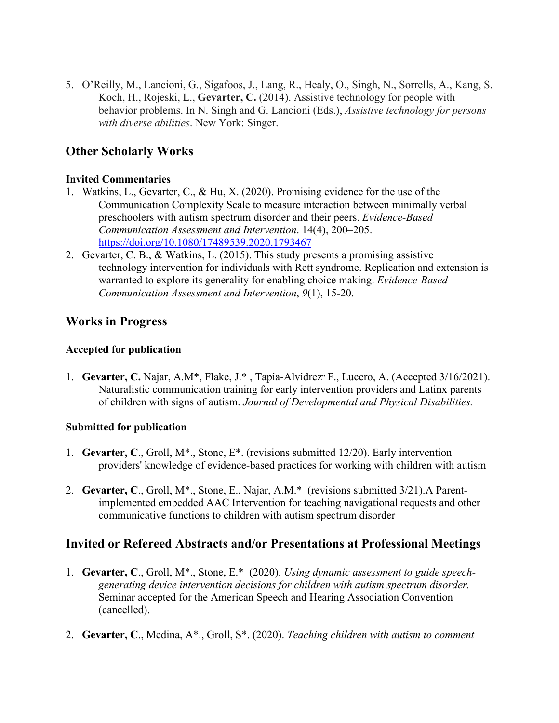5. O'Reilly, M., Lancioni, G., Sigafoos, J., Lang, R., Healy, O., Singh, N., Sorrells, A., Kang, S. Koch, H., Rojeski, L., **Gevarter, C.** (2014). Assistive technology for people with behavior problems. In N. Singh and G. Lancioni (Eds.), *Assistive technology for persons with diverse abilities*. New York: Singer.

## **Other Scholarly Works**

#### **Invited Commentaries**

- 1. Watkins, L., Gevarter, C., & Hu, X. (2020). Promising evidence for the use of the Communication Complexity Scale to measure interaction between minimally verbal preschoolers with autism spectrum disorder and their peers. *Evidence-Based Communication Assessment and Intervention*. 14(4), 200–205. <https://doi.org/10.1080/17489539.2020.1793467>
- 2. Gevarter, C. B., & Watkins, L. (2015). This study presents a promising assistive technology intervention for individuals with Rett syndrome. Replication and extension is warranted to explore its generality for enabling choice making. *Evidence-Based Communication Assessment and Intervention*, *9*(1), 15-20.

## **Works in Progress**

### **Accepted for publication**

1. Gevarter, C. Najar, A.M\*, Flake, J.\*, Tapia-Alvidrez<sup>,</sup> F., Lucero, A. (Accepted 3/16/2021). Naturalistic communication training for early intervention providers and Latinx parents of children with signs of autism. *Journal of Developmental and Physical Disabilities.*

### **Submitted for publication**

- 1. **Gevarter, C**., Groll, M\*., Stone, E\*. (revisions submitted 12/20). Early intervention providers' knowledge of evidence-based practices for working with children with autism
- 2. **Gevarter, C**., Groll, M\*., Stone, E., Najar, A.M.\* (revisions submitted 3/21).A Parentimplemented embedded AAC Intervention for teaching navigational requests and other communicative functions to children with autism spectrum disorder

## **Invited or Refereed Abstracts and/or Presentations at Professional Meetings**

- 1. **Gevarter, C**., Groll, M\*., Stone, E.\* (2020). *Using dynamic assessment to guide speechgenerating device intervention decisions for children with autism spectrum disorder.* Seminar accepted for the American Speech and Hearing Association Convention (cancelled).
- 2. **Gevarter, C**., Medina, A\*., Groll, S\*. (2020). *Teaching children with autism to comment*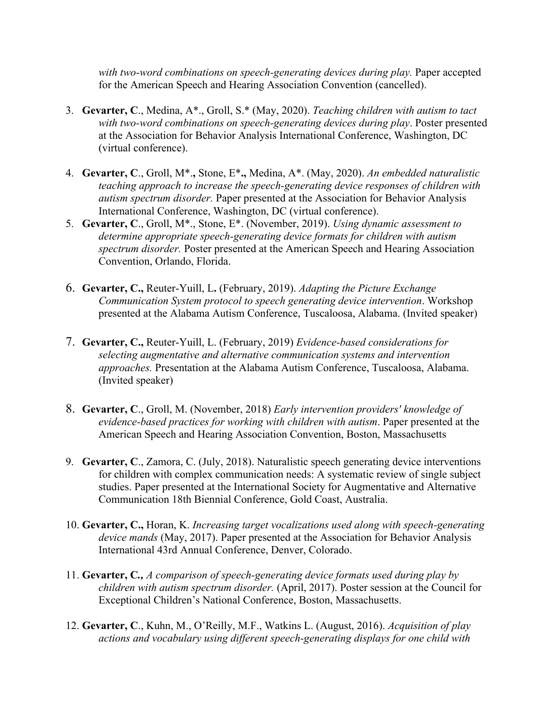*with two-word combinations on speech-generating devices during play.* Paper accepted for the American Speech and Hearing Association Convention (cancelled).

- 3. **Gevarter, C**., Medina, A\*., Groll, S.\* (May, 2020). *Teaching children with autism to tact with two-word combinations on speech-generating devices during play*. Poster presented at the Association for Behavior Analysis International Conference, Washington, DC (virtual conference).
- 4. **Gevarter, C**., Groll, M\*.**,** Stone, E\***.,** Medina, A\*. (May, 2020). *An embedded naturalistic teaching approach to increase the speech-generating device responses of children with autism spectrum disorder.* Paper presented at the Association for Behavior Analysis International Conference, Washington, DC (virtual conference).
- 5. **Gevarter, C**., Groll, M\*., Stone, E\*. (November, 2019). *Using dynamic assessment to determine appropriate speech-generating device formats for children with autism spectrum disorder.* Poster presented at the American Speech and Hearing Association Convention, Orlando, Florida.
- 6. **Gevarter, C.,** Reuter-Yuill, L**.** (February, 2019). *Adapting the Picture Exchange Communication System protocol to speech generating device intervention*. Workshop presented at the Alabama Autism Conference, Tuscaloosa, Alabama. (Invited speaker)
- 7. **Gevarter, C.,** Reuter-Yuill, L. (February, 2019) *Evidence-based considerations for selecting augmentative and alternative communication systems and intervention approaches.* Presentation at the Alabama Autism Conference, Tuscaloosa, Alabama. (Invited speaker)
- 8. **Gevarter, C**., Groll, M. (November, 2018) *Early intervention providers' knowledge of evidence-based practices for working with children with autism*. Paper presented at the American Speech and Hearing Association Convention, Boston, Massachusetts
- 9. **Gevarter, C**., Zamora, C. (July, 2018). Naturalistic speech generating device interventions for children with complex communication needs: A systematic review of single subject studies. Paper presented at the International Society for Augmentative and Alternative Communication 18th Biennial Conference, Gold Coast, Australia.
- 10. **Gevarter, C.,** Horan, K. *Increasing target vocalizations used along with speech-generating device mands* (May, 2017). Paper presented at the Association for Behavior Analysis International 43rd Annual Conference, Denver, Colorado.
- 11. **Gevarter, C***., A comparison of speech-generating device formats used during play by children with autism spectrum disorder.* (April, 2017). Poster session at the Council for Exceptional Children's National Conference, Boston, Massachusetts.
- 12. **Gevarter, C**., Kuhn, M., O'Reilly, M.F., Watkins L. (August, 2016). *Acquisition of play actions and vocabulary using different speech-generating displays for one child with*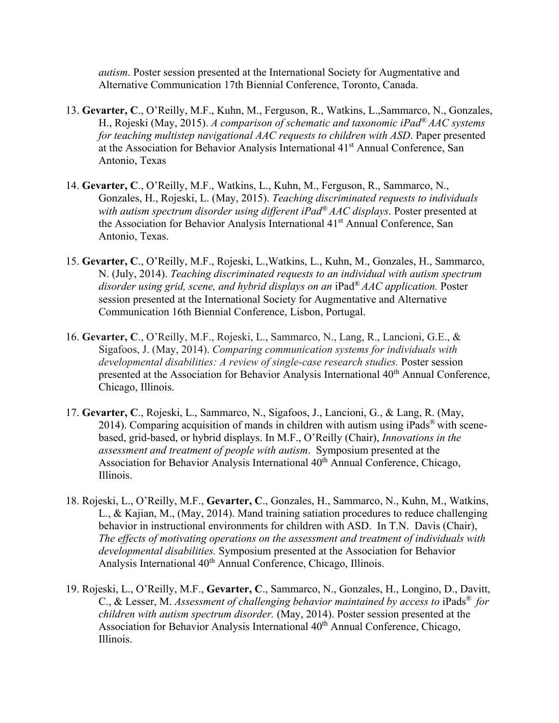*autism*. Poster session presented at the International Society for Augmentative and Alternative Communication 17th Biennial Conference, Toronto, Canada.

- 13. **Gevarter, C**., O'Reilly, M.F., Kuhn, M., Ferguson, R., Watkins, L.,Sammarco, N., Gonzales, H., Rojeski (May, 2015). *A comparison of schematic and taxonomic iPad® AAC systems for teaching multistep navigational AAC requests to children with ASD*. Paper presented at the Association for Behavior Analysis International 41st Annual Conference, San Antonio, Texas
- 14. **Gevarter, C**., O'Reilly, M.F., Watkins, L., Kuhn, M., Ferguson, R., Sammarco, N., Gonzales, H., Rojeski, L. (May, 2015). *Teaching discriminated requests to individuals with autism spectrum disorder using different iPad® AAC displays*. Poster presented at the Association for Behavior Analysis International 41<sup>st</sup> Annual Conference, San Antonio, Texas.
- 15. **Gevarter, C**., O'Reilly, M.F., Rojeski, L.,Watkins, L., Kuhn, M., Gonzales, H., Sammarco, N. (July, 2014). *Teaching discriminated requests to an individual with autism spectrum disorder using grid, scene, and hybrid displays on an* iPad® *AAC application.* Poster session presented at the International Society for Augmentative and Alternative Communication 16th Biennial Conference, Lisbon, Portugal.
- 16. **Gevarter, C**., O'Reilly, M.F., Rojeski, L., Sammarco, N., Lang, R., Lancioni, G.E., & Sigafoos, J. (May, 2014). *Comparing communication systems for individuals with developmental disabilities: A review of single-case research studies.* Poster session presented at the Association for Behavior Analysis International 40<sup>th</sup> Annual Conference, Chicago, Illinois.
- 17. **Gevarter, C**., Rojeski, L., Sammarco, N., Sigafoos, J., Lancioni, G., & Lang, R. (May, 2014). Comparing acquisition of mands in children with autism using iPads<sup>®</sup> with scenebased, grid-based, or hybrid displays. In M.F., O'Reilly (Chair), *Innovations in the assessment and treatment of people with autism*. Symposium presented at the Association for Behavior Analysis International  $40<sup>th</sup>$  Annual Conference, Chicago, Illinois.
- 18. Rojeski, L., O'Reilly, M.F., **Gevarter, C**., Gonzales, H., Sammarco, N., Kuhn, M., Watkins, L.,  $\&$  Kajian, M., (May, 2014). Mand training satiation procedures to reduce challenging behavior in instructional environments for children with ASD. In T.N. Davis (Chair), *The effects of motivating operations on the assessment and treatment of individuals with developmental disabilities.* Symposium presented at the Association for Behavior Analysis International 40<sup>th</sup> Annual Conference, Chicago, Illinois.
- 19. Rojeski, L., O'Reilly, M.F., **Gevarter, C**., Sammarco, N., Gonzales, H., Longino, D., Davitt, C., & Lesser, M. *Assessment of challenging behavior maintained by access to iPads<sup>®</sup> for children with autism spectrum disorder.* (May, 2014). Poster session presented at the Association for Behavior Analysis International 40<sup>th</sup> Annual Conference, Chicago, Illinois.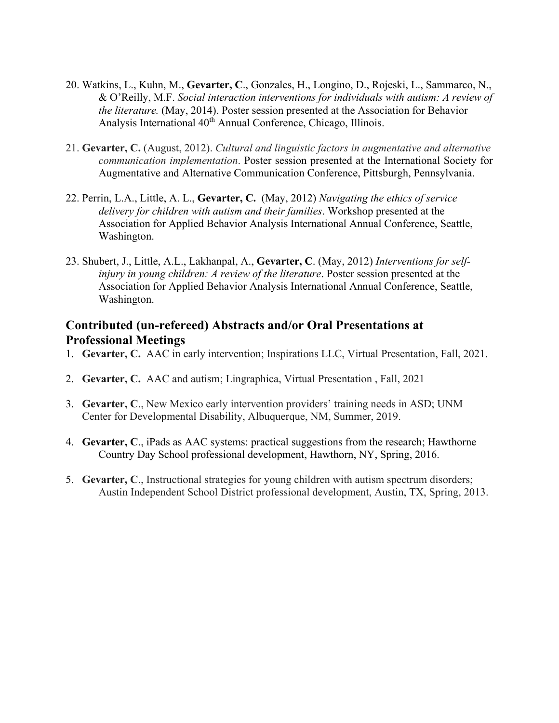- 20. Watkins, L., Kuhn, M., **Gevarter, C**., Gonzales, H., Longino, D., Rojeski, L., Sammarco, N., & O'Reilly, M.F. *Social interaction interventions for individuals with autism: A review of the literature.* (May, 2014). Poster session presented at the Association for Behavior Analysis International 40<sup>th</sup> Annual Conference, Chicago, Illinois.
- 21. **Gevarter, C.** (August, 2012). *Cultural and linguistic factors in augmentative and alternative communication implementation*. Poster session presented at the International Society for Augmentative and Alternative Communication Conference, Pittsburgh, Pennsylvania.
- 22. Perrin, L.A., Little, A. L., **Gevarter, C.** (May, 2012) *Navigating the ethics of service delivery for children with autism and their families*. Workshop presented at the Association for Applied Behavior Analysis International Annual Conference, Seattle, Washington.
- 23. Shubert, J., Little, A.L., Lakhanpal, A., **Gevarter, C**. (May, 2012) *Interventions for selfinjury in young children: A review of the literature*. Poster session presented at the Association for Applied Behavior Analysis International Annual Conference, Seattle, Washington.

# **Contributed (un-refereed) Abstracts and/or Oral Presentations at Professional Meetings**

- 1. **Gevarter, C.** AAC in early intervention; Inspirations LLC, Virtual Presentation, Fall, 2021.
- 2. **Gevarter, C.** AAC and autism; Lingraphica, Virtual Presentation , Fall, 2021
- 3. **Gevarter, C**., New Mexico early intervention providers' training needs in ASD; UNM Center for Developmental Disability, Albuquerque, NM, Summer, 2019.
- 4. **Gevarter, C**., iPads as AAC systems: practical suggestions from the research; Hawthorne Country Day School professional development, Hawthorn, NY, Spring, 2016.
- 5. **Gevarter, C**., Instructional strategies for young children with autism spectrum disorders; Austin Independent School District professional development, Austin, TX, Spring, 2013.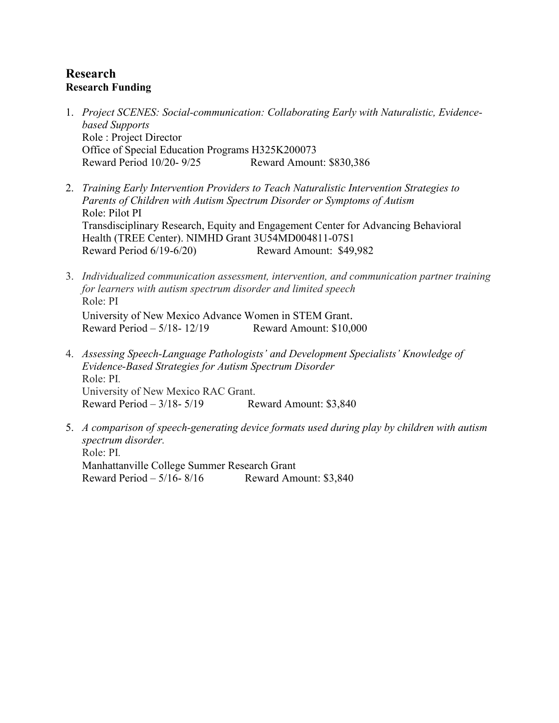## **Research Research Funding**

- 1. *Project SCENES: Social-communication: Collaborating Early with Naturalistic, Evidencebased Supports* Role : Project Director Office of Special Education Programs H325K200073 Reward Period 10/20- 9/25 Reward Amount: \$830,386
- 2. *Training Early Intervention Providers to Teach Naturalistic Intervention Strategies to Parents of Children with Autism Spectrum Disorder or Symptoms of Autism* Role: Pilot PI Transdisciplinary Research, Equity and Engagement Center for Advancing Behavioral Health (TREE Center). NIMHD Grant 3U54MD004811-07S1 Reward Period 6/19-6/20)Reward Amount: \$49,982
- 3. *Individualized communication assessment, intervention, and communication partner training for learners with autism spectrum disorder and limited speech* Role: PI University of New Mexico Advance Women in STEM Grant. Reward Period – 5/18- 12/19 Reward Amount: \$10,000
- 4. *Assessing Speech-Language Pathologists' and Development Specialists' Knowledge of Evidence-Based Strategies for Autism Spectrum Disorder* Role: PI*.* University of New Mexico RAC Grant. Reward Period – 3/18- 5/19 Reward Amount: \$3,840
- 5. *A comparison of speech-generating device formats used during play by children with autism spectrum disorder.* Role: PI*.* Manhattanville College Summer Research Grant Reward Period  $-5/16 - 8/16$  Reward Amount: \$3,840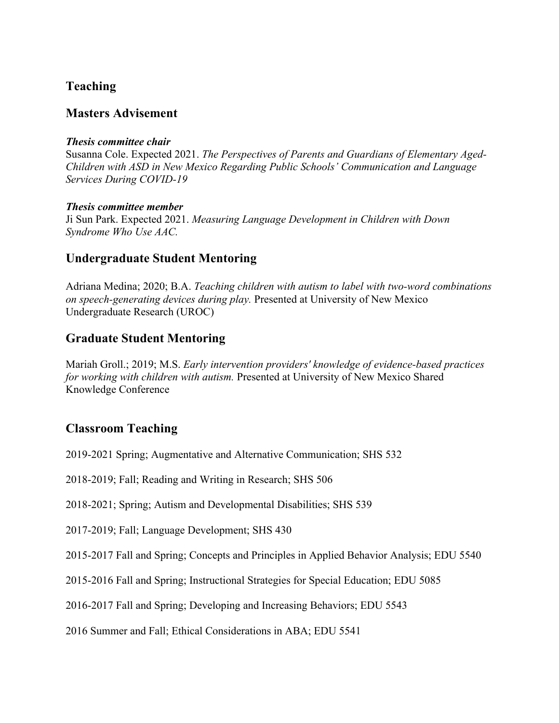# **Teaching**

## **Masters Advisement**

#### *Thesis committee chair*

Susanna Cole. Expected 2021. *The Perspectives of Parents and Guardians of Elementary Aged-Children with ASD in New Mexico Regarding Public Schools' Communication and Language Services During COVID-19*

### *Thesis committee member*

Ji Sun Park. Expected 2021. *Measuring Language Development in Children with Down Syndrome Who Use AAC.*

# **Undergraduate Student Mentoring**

Adriana Medina; 2020; B.A. *Teaching children with autism to label with two-word combinations on speech-generating devices during play.* Presented at University of New Mexico Undergraduate Research (UROC)

# **Graduate Student Mentoring**

Mariah Groll.; 2019; M.S. *Early intervention providers' knowledge of evidence-based practices for working with children with autism.* Presented at University of New Mexico Shared Knowledge Conference

# **Classroom Teaching**

2019-2021 Spring; Augmentative and Alternative Communication; SHS 532

2018-2019; Fall; Reading and Writing in Research; SHS 506

2018-2021; Spring; Autism and Developmental Disabilities; SHS 539

2017-2019; Fall; Language Development; SHS 430

2015-2017 Fall and Spring; Concepts and Principles in Applied Behavior Analysis; EDU 5540

2015-2016 Fall and Spring; Instructional Strategies for Special Education; EDU 5085

2016-2017 Fall and Spring; Developing and Increasing Behaviors; EDU 5543

2016 Summer and Fall; Ethical Considerations in ABA; EDU 5541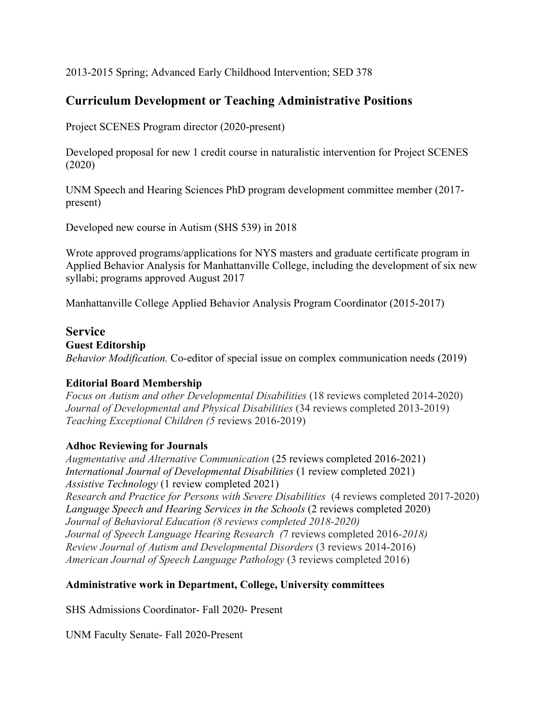2013-2015 Spring; Advanced Early Childhood Intervention; SED 378

# **Curriculum Development or Teaching Administrative Positions**

Project SCENES Program director (2020-present)

Developed proposal for new 1 credit course in naturalistic intervention for Project SCENES (2020)

UNM Speech and Hearing Sciences PhD program development committee member (2017 present)

Developed new course in Autism (SHS 539) in 2018

Wrote approved programs/applications for NYS masters and graduate certificate program in Applied Behavior Analysis for Manhattanville College, including the development of six new syllabi; programs approved August 2017

Manhattanville College Applied Behavior Analysis Program Coordinator (2015-2017)

#### **Service**

#### **Guest Editorship**

*Behavior Modification.* Co-editor of special issue on complex communication needs (2019)

#### **Editorial Board Membership**

*Focus on Autism and other Developmental Disabilities* (18 reviews completed 2014-2020) *Journal of Developmental and Physical Disabilities* (34 reviews completed 2013-2019) *Teaching Exceptional Children (5* reviews 2016-2019)

### **Adhoc Reviewing for Journals**

*Augmentative and Alternative Communication* (25 reviews completed 2016-2021) *International Journal of Developmental Disabilities* (1 review completed 2021) *Assistive Technology* (1 review completed 2021) *Research and Practice for Persons with Severe Disabilities* (4 reviews completed 2017-2020) *Language Speech and Hearing Services in the Schools* (2 reviews completed 2020) *Journal of Behavioral Education (8 reviews completed 2018-2020) Journal of Speech Language Hearing Research (*7 reviews completed 2016*-2018) Review Journal of Autism and Developmental Disorders* (3 reviews 2014-2016) *American Journal of Speech Language Pathology* (3 reviews completed 2016)

### **Administrative work in Department, College, University committees**

SHS Admissions Coordinator- Fall 2020- Present

UNM Faculty Senate- Fall 2020-Present